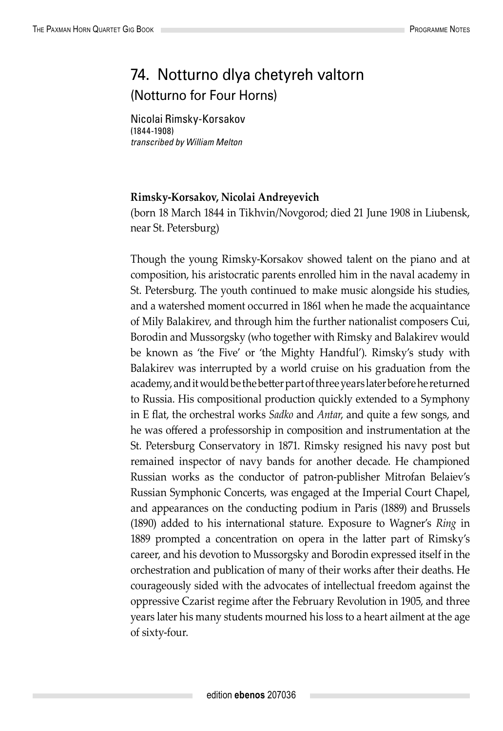## 74. Notturno dlya chetyreh valtorn (Notturno for Four Horns)

Nicolai Rimsky-Korsakov (1844-1908) *transcribed by William Melton*

## **Rimsky-Korsakov, Nicolai Andreyevich**

(born 18 March 1844 in Tikhvin/Novgorod; died 21 June 1908 in Liubensk, near St. Petersburg)

Though the young Rimsky-Korsakov showed talent on the piano and at composition, his aristocratic parents enrolled him in the naval academy in St. Petersburg. The youth continued to make music alongside his studies, and a watershed moment occurred in 1861 when he made the acquaintance of Mily Balakirev, and through him the further nationalist composers Cui, Borodin and Mussorgsky (who together with Rimsky and Balakirev would be known as 'the Five' or 'the Mighty Handful'). Rimsky's study with Balakirev was interrupted by a world cruise on his graduation from the academy, and it would be the better part of three years later before he returned to Russia. His compositional production quickly extended to a Symphony in E flat, the orchestral works *Sadko* and *Antar*, and quite a few songs, and he was offered a professorship in composition and instrumentation at the St. Petersburg Conservatory in 1871. Rimsky resigned his navy post but remained inspector of navy bands for another decade. He championed Russian works as the conductor of patron-publisher Mitrofan Belaiev's Russian Symphonic Concerts, was engaged at the Imperial Court Chapel, and appearances on the conducting podium in Paris (1889) and Brussels (1890) added to his international stature. Exposure to Wagner's *Ring* in 1889 prompted a concentration on opera in the latter part of Rimsky's career, and his devotion to Mussorgsky and Borodin expressed itself in the orchestration and publication of many of their works after their deaths. He courageously sided with the advocates of intellectual freedom against the oppressive Czarist regime after the February Revolution in 1905, and three years later his many students mourned his loss to a heart ailment at the age of sixty-four.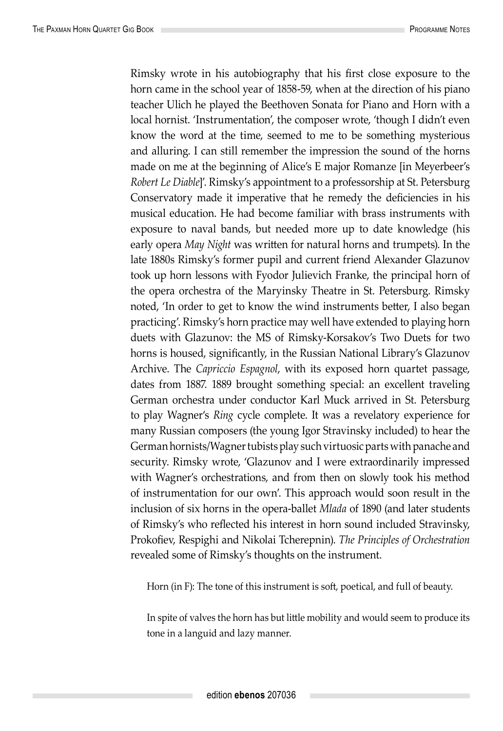Rimsky wrote in his autobiography that his first close exposure to the horn came in the school year of 1858-59, when at the direction of his piano teacher Ulich he played the Beethoven Sonata for Piano and Horn with a local hornist. 'Instrumentation', the composer wrote, 'though I didn't even know the word at the time, seemed to me to be something mysterious and alluring. I can still remember the impression the sound of the horns made on me at the beginning of Alice's E major Romanze [in Meyerbeer's *Robert Le Diable*]'. Rimsky's appointment to a professorship at St. Petersburg Conservatory made it imperative that he remedy the deficiencies in his musical education. He had become familiar with brass instruments with exposure to naval bands, but needed more up to date knowledge (his early opera *May Night* was written for natural horns and trumpets). In the late 1880s Rimsky's former pupil and current friend Alexander Glazunov took up horn lessons with Fyodor Julievich Franke, the principal horn of the opera orchestra of the Maryinsky Theatre in St. Petersburg. Rimsky noted, 'In order to get to know the wind instruments better, I also began practicing'. Rimsky's horn practice may well have extended to playing horn duets with Glazunov: the MS of Rimsky-Korsakov's Two Duets for two horns is housed, significantly, in the Russian National Library's Glazunov Archive. The *Capriccio Espagnol*, with its exposed horn quartet passage, dates from 1887. 1889 brought something special: an excellent traveling German orchestra under conductor Karl Muck arrived in St. Petersburg to play Wagner's *Ring* cycle complete. It was a revelatory experience for many Russian composers (the young Igor Stravinsky included) to hear the German hornists/Wagner tubists play such virtuosic parts with panache and security. Rimsky wrote, 'Glazunov and I were extraordinarily impressed with Wagner's orchestrations, and from then on slowly took his method of instrumentation for our own'. This approach would soon result in the inclusion of six horns in the opera-ballet *Mlada* of 1890 (and later students of Rimsky's who reflected his interest in horn sound included Stravinsky, Prokofiev, Respighi and Nikolai Tcherepnin). *The Principles of Orchestration* revealed some of Rimsky's thoughts on the instrument.

Horn (in F): The tone of this instrument is soft, poetical, and full of beauty.

In spite of valves the horn has but little mobility and would seem to produce its tone in a languid and lazy manner.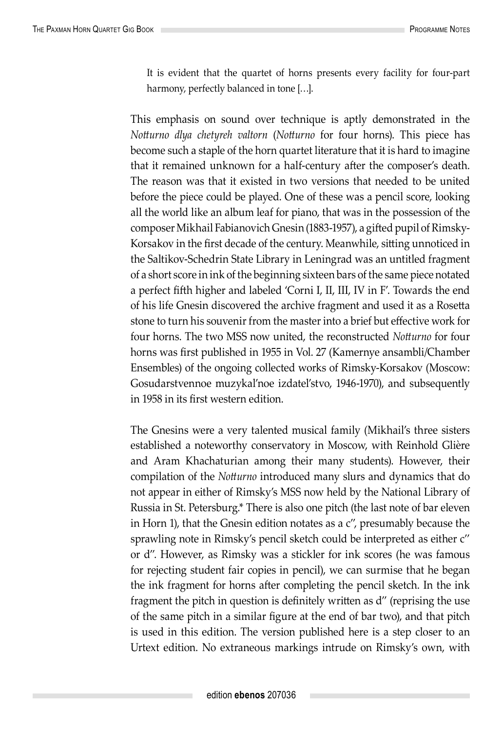It is evident that the quartet of horns presents every facility for four-part harmony, perfectly balanced in tone […].

This emphasis on sound over technique is aptly demonstrated in the *Notturno dlya chetyreh valtorn* (*Notturno* for four horns). This piece has become such a staple of the horn quartet literature that it is hard to imagine that it remained unknown for a half-century after the composer's death. The reason was that it existed in two versions that needed to be united before the piece could be played. One of these was a pencil score, looking all the world like an album leaf for piano, that was in the possession of the composer Mikhail Fabianovich Gnesin (1883-1957), a gifted pupil of Rimsky-Korsakov in the first decade of the century. Meanwhile, sitting unnoticed in the Saltikov-Schedrin State Library in Leningrad was an untitled fragment of a short score in ink of the beginning sixteen bars of the same piece notated a perfect fifth higher and labeled 'Corni I, II, III, IV in F'. Towards the end of his life Gnesin discovered the archive fragment and used it as a Rosetta stone to turn his souvenir from the master into a brief but effective work for four horns. The two MSS now united, the reconstructed *Notturno* for four horns was first published in 1955 in Vol. 27 (Kamernye ansambli/Chamber Ensembles) of the ongoing collected works of Rimsky-Korsakov (Moscow: Gosudarstvennoe muzykal'noe izdatel'stvo, 1946-1970), and subsequently in 1958 in its first western edition.

The Gnesins were a very talented musical family (Mikhail's three sisters established a noteworthy conservatory in Moscow, with Reinhold Glière and Aram Khachaturian among their many students). However, their compilation of the *Notturno* introduced many slurs and dynamics that do not appear in either of Rimsky's MSS now held by the National Library of Russia in St. Petersburg.\* There is also one pitch (the last note of bar eleven in Horn 1), that the Gnesin edition notates as a c'', presumably because the sprawling note in Rimsky's pencil sketch could be interpreted as either c'' or d''. However, as Rimsky was a stickler for ink scores (he was famous for rejecting student fair copies in pencil), we can surmise that he began the ink fragment for horns after completing the pencil sketch. In the ink fragment the pitch in question is definitely written as d'' (reprising the use of the same pitch in a similar figure at the end of bar two), and that pitch is used in this edition. The version published here is a step closer to an Urtext edition. No extraneous markings intrude on Rimsky's own, with